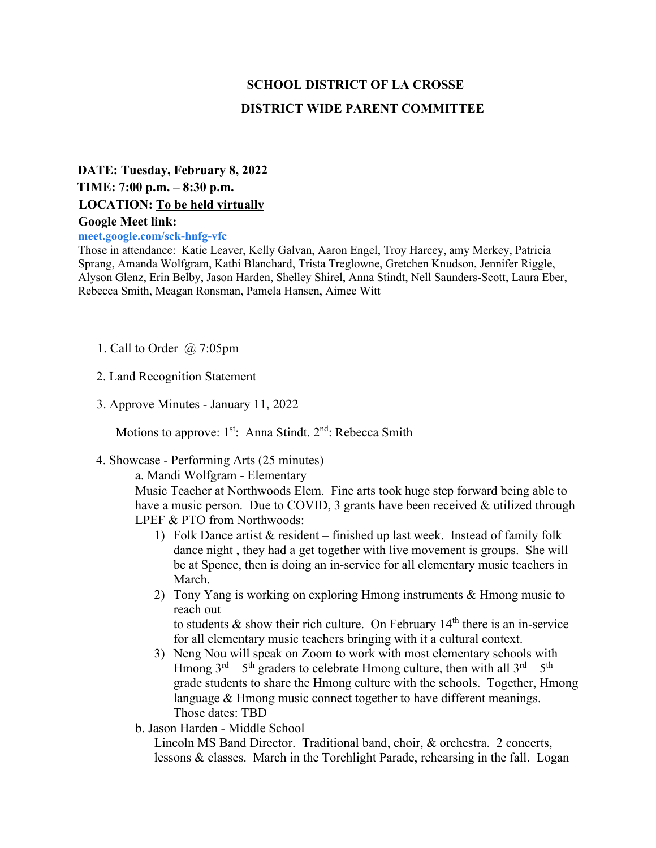# **SCHOOL DISTRICT OF LA CROSSE DISTRICT WIDE PARENT COMMITTEE**

# **DATE: Tuesday, February 8, 2022 TIME: 7:00 p.m. – 8:30 p.m. LOCATION: To be held virtually**

#### **Google Meet link:**

#### **meet.google.com/sck-hnfg-vfc**

Those in attendance: Katie Leaver, Kelly Galvan, Aaron Engel, Troy Harcey, amy Merkey, Patricia Sprang, Amanda Wolfgram, Kathi Blanchard, Trista Treglowne, Gretchen Knudson, Jennifer Riggle, Alyson Glenz, Erin Belby, Jason Harden, Shelley Shirel, Anna Stindt, Nell Saunders-Scott, Laura Eber, Rebecca Smith, Meagan Ronsman, Pamela Hansen, Aimee Witt

- 1. Call to Order @ 7:05pm
- 2. Land Recognition Statement
- 3. Approve Minutes January 11, 2022

Motions to approve:  $1^{st}$ : Anna Stindt.  $2^{nd}$ : Rebecca Smith

## 4. Showcase - Performing Arts (25 minutes)

a. Mandi Wolfgram - Elementary

Music Teacher at Northwoods Elem. Fine arts took huge step forward being able to have a music person. Due to COVID, 3 grants have been received  $\&$  utilized through LPEF & PTO from Northwoods:

- 1) Folk Dance artist & resident finished up last week. Instead of family folk dance night , they had a get together with live movement is groups. She will be at Spence, then is doing an in-service for all elementary music teachers in March.
- 2) Tony Yang is working on exploring Hmong instruments & Hmong music to reach out

to students  $\&$  show their rich culture. On February 14<sup>th</sup> there is an in-service for all elementary music teachers bringing with it a cultural context.

- 3) Neng Nou will speak on Zoom to work with most elementary schools with Hmong  $3^{rd} - 5^{th}$  graders to celebrate Hmong culture, then with all  $3^{rd} - 5^{th}$ grade students to share the Hmong culture with the schools. Together, Hmong language & Hmong music connect together to have different meanings. Those dates: TBD
- b. Jason Harden Middle School

Lincoln MS Band Director. Traditional band, choir, & orchestra. 2 concerts, lessons & classes. March in the Torchlight Parade, rehearsing in the fall. Logan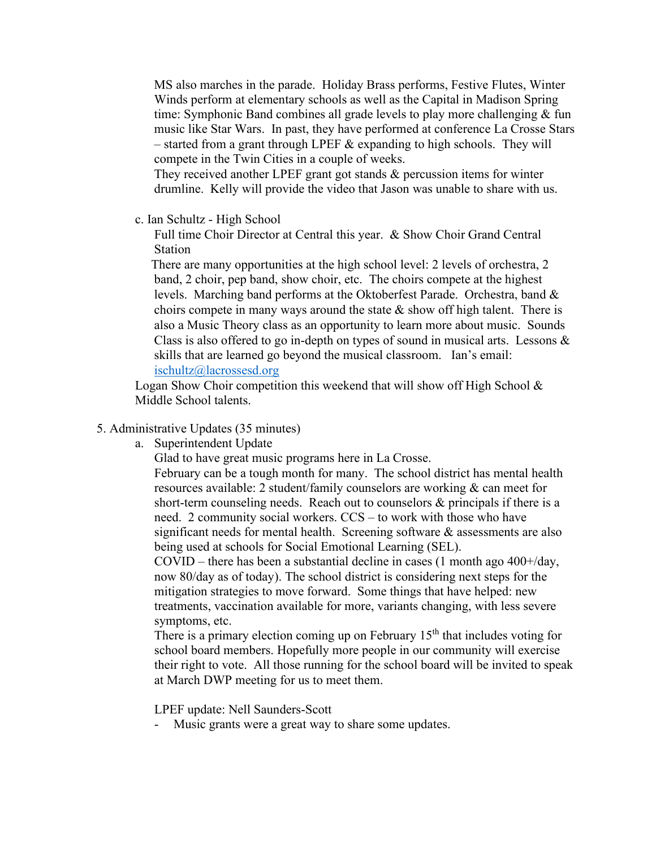MS also marches in the parade. Holiday Brass performs, Festive Flutes, Winter Winds perform at elementary schools as well as the Capital in Madison Spring time: Symphonic Band combines all grade levels to play more challenging & fun music like Star Wars. In past, they have performed at conference La Crosse Stars – started from a grant through LPEF  $&$  expanding to high schools. They will compete in the Twin Cities in a couple of weeks.

They received another LPEF grant got stands & percussion items for winter drumline. Kelly will provide the video that Jason was unable to share with us.

c. Ian Schultz - High School

Full time Choir Director at Central this year. & Show Choir Grand Central Station

 There are many opportunities at the high school level: 2 levels of orchestra, 2 band, 2 choir, pep band, show choir, etc. The choirs compete at the highest levels. Marching band performs at the Oktoberfest Parade. Orchestra, band & choirs compete in many ways around the state  $\&$  show off high talent. There is also a Music Theory class as an opportunity to learn more about music. Sounds Class is also offered to go in-depth on types of sound in musical arts. Lessons & skills that are learned go beyond the musical classroom. Ian's email: [ischultz@lacrossesd.org](mailto:ischultz@lacrossesd.org)

Logan Show Choir competition this weekend that will show off High School  $\&$ Middle School talents.

### 5. Administrative Updates (35 minutes)

a. Superintendent Update

Glad to have great music programs here in La Crosse.

February can be a tough month for many. The school district has mental health resources available: 2 student/family counselors are working & can meet for short-term counseling needs. Reach out to counselors & principals if there is a need. 2 community social workers. CCS – to work with those who have significant needs for mental health. Screening software & assessments are also being used at schools for Social Emotional Learning (SEL).

COVID – there has been a substantial decline in cases (1 month ago  $400+/day$ , now 80/day as of today). The school district is considering next steps for the mitigation strategies to move forward. Some things that have helped: new treatments, vaccination available for more, variants changing, with less severe symptoms, etc.

There is a primary election coming up on February  $15<sup>th</sup>$  that includes voting for school board members. Hopefully more people in our community will exercise their right to vote. All those running for the school board will be invited to speak at March DWP meeting for us to meet them.

LPEF update: Nell Saunders-Scott

Music grants were a great way to share some updates.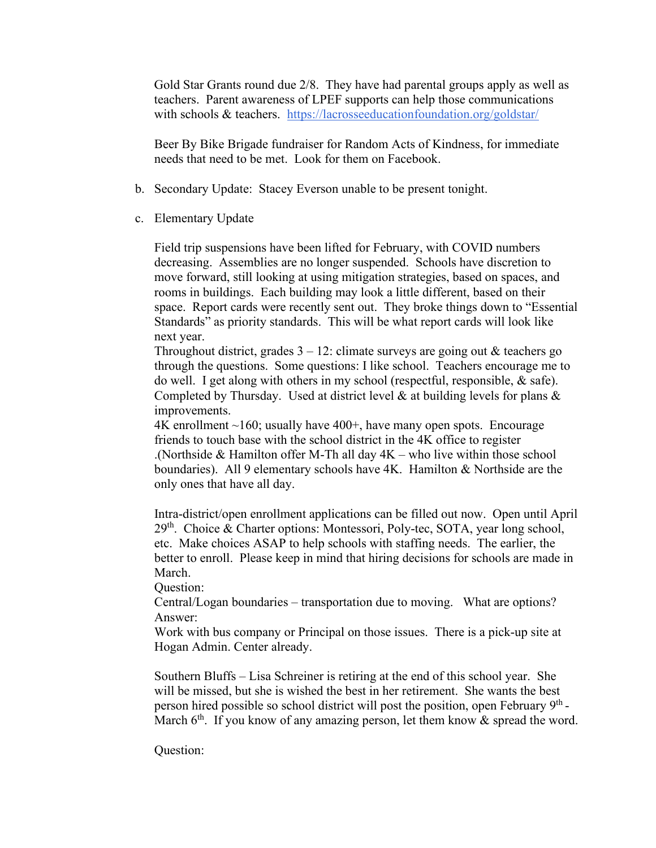Gold Star Grants round due 2/8. They have had parental groups apply as well as teachers. Parent awareness of LPEF supports can help those communications with schools & teachers. <https://lacrosseeducationfoundation.org/goldstar/>

Beer By Bike Brigade fundraiser for Random Acts of Kindness, for immediate needs that need to be met. Look for them on Facebook.

- b. Secondary Update: Stacey Everson unable to be present tonight.
- c. Elementary Update

Field trip suspensions have been lifted for February, with COVID numbers decreasing. Assemblies are no longer suspended. Schools have discretion to move forward, still looking at using mitigation strategies, based on spaces, and rooms in buildings. Each building may look a little different, based on their space. Report cards were recently sent out. They broke things down to "Essential Standards" as priority standards. This will be what report cards will look like next year.

Throughout district, grades  $3 - 12$ : climate surveys are going out & teachers go through the questions. Some questions: I like school. Teachers encourage me to do well. I get along with others in my school (respectful, responsible, & safe). Completed by Thursday. Used at district level  $\&$  at building levels for plans  $\&$ improvements.

 $4K$  enrollment  $\sim160$ ; usually have  $400+$ , have many open spots. Encourage friends to touch base with the school district in the 4K office to register .(Northside & Hamilton offer M-Th all day  $4K$  – who live within those school boundaries). All 9 elementary schools have 4K. Hamilton & Northside are the only ones that have all day.

Intra-district/open enrollment applications can be filled out now. Open until April  $29<sup>th</sup>$ . Choice & Charter options: Montessori, Poly-tec, SOTA, year long school, etc. Make choices ASAP to help schools with staffing needs. The earlier, the better to enroll. Please keep in mind that hiring decisions for schools are made in March.

Question:

Central/Logan boundaries – transportation due to moving. What are options? Answer:

Work with bus company or Principal on those issues. There is a pick-up site at Hogan Admin. Center already.

Southern Bluffs – Lisa Schreiner is retiring at the end of this school year. She will be missed, but she is wished the best in her retirement. She wants the best person hired possible so school district will post the position, open February  $9<sup>th</sup>$ -March  $6<sup>th</sup>$ . If you know of any amazing person, let them know & spread the word.

Question: